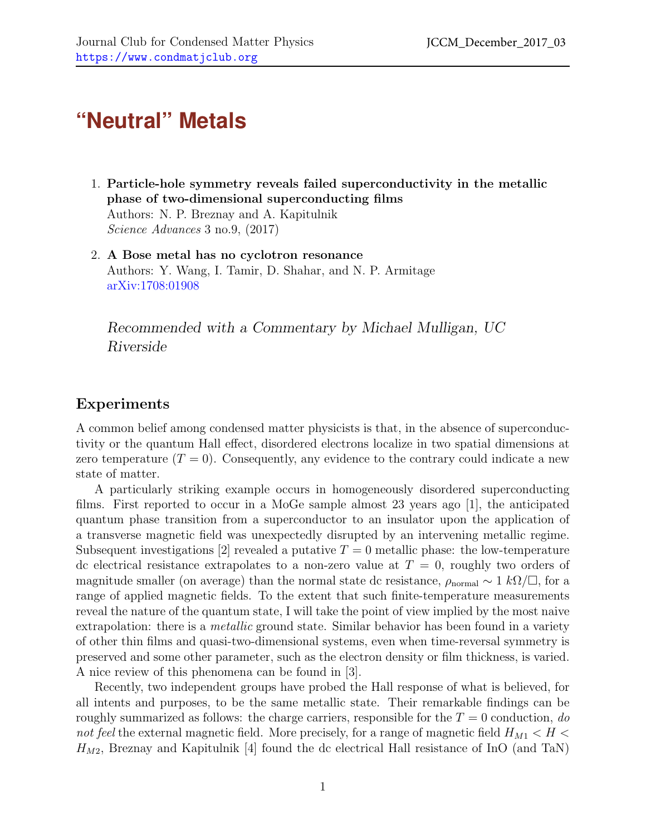## **"Neutral" Metals**

- 1. Particle-hole symmetry reveals failed superconductivity in the metallic phase of two-dimensional superconducting films Authors: N. P. Breznay and A. Kapitulnik Science Advances 3 no.9, (2017)
- 2. A Bose metal has no cyclotron resonance Authors: Y. Wang, I. Tamir, D. Shahar, and N. P. Armitage [arXiv:1708:01908](https://arxiv.org/abs/1708.01908)

Recommended with a Commentary by Michael Mulligan, UC Riverside

## Experiments

A common belief among condensed matter physicists is that, in the absence of superconductivity or the quantum Hall effect, disordered electrons localize in two spatial dimensions at zero temperature  $(T = 0)$ . Consequently, any evidence to the contrary could indicate a new state of matter.

A particularly striking example occurs in homogeneously disordered superconducting films. First reported to occur in a MoGe sample almost 23 years ago [\[1\]](#page-2-0), the anticipated quantum phase transition from a superconductor to an insulator upon the application of a transverse magnetic field was unexpectedly disrupted by an intervening metallic regime. Subsequent investigations [\[2\]](#page-2-1) revealed a putative  $T = 0$  metallic phase: the low-temperature dc electrical resistance extrapolates to a non-zero value at  $T = 0$ , roughly two orders of magnitude smaller (on average) than the normal state dc resistance,  $\rho_{\text{normal}} \sim 1 \ k\Omega/\square$ , for a range of applied magnetic fields. To the extent that such finite-temperature measurements reveal the nature of the quantum state, I will take the point of view implied by the most naive extrapolation: there is a *metallic* ground state. Similar behavior has been found in a variety of other thin films and quasi-two-dimensional systems, even when time-reversal symmetry is preserved and some other parameter, such as the electron density or film thickness, is varied. A nice review of this phenomena can be found in [\[3\]](#page-2-2).

Recently, two independent groups have probed the Hall response of what is believed, for all intents and purposes, to be the same metallic state. Their remarkable findings can be roughly summarized as follows: the charge carriers, responsible for the  $T = 0$  conduction, do not feel the external magnetic field. More precisely, for a range of magnetic field  $H_{M1} < H <$  $H_{M2}$ , Breznay and Kapitulnik [\[4\]](#page-2-3) found the dc electrical Hall resistance of InO (and TaN)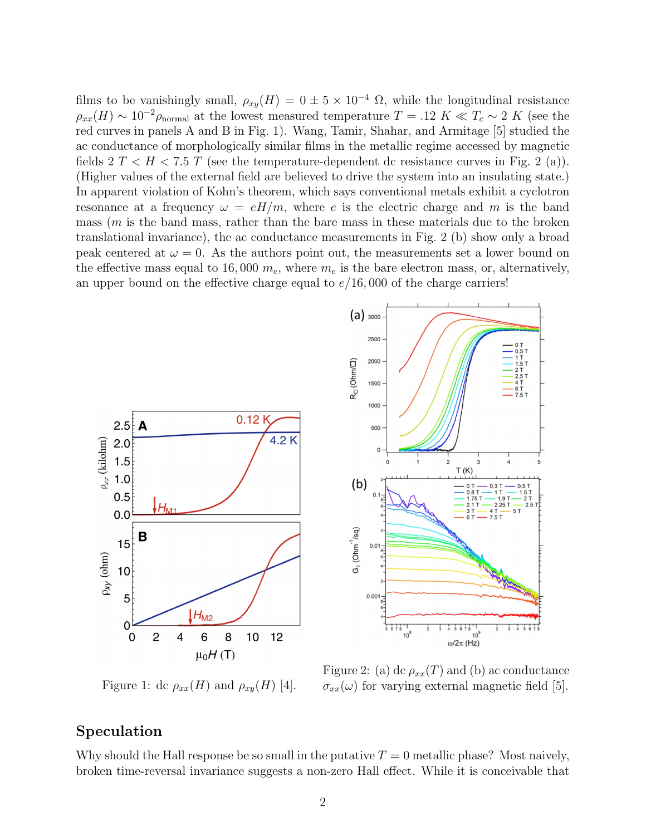films to be vanishingly small,  $\rho_{xy}(H) = 0 \pm 5 \times 10^{-4} \Omega$ , while the longitudinal resistance  $\rho_{xx}(H) \sim 10^{-2} \rho_{\text{normal}}$  at the lowest measured temperature  $T = .12 K \ll T_c \sim 2 K$  (see the red curves in panels A and B in Fig. [1\)](#page-1-0). Wang, Tamir, Shahar, and Armitage [\[5\]](#page-2-4) studied the ac conductance of morphologically similar films in the metallic regime accessed by magnetic fields  $2 T < H < 7.5 T$  $2 T < H < 7.5 T$  (see the temperature-dependent dc resistance curves in Fig. 2 (a)). (Higher values of the external field are believed to drive the system into an insulating state.) In apparent violation of Kohn's theorem, which says conventional metals exhibit a cyclotron resonance at a frequency  $\omega = eH/m$ , where e is the electric charge and m is the band mass  $(m \text{ is the band mass, rather than the bare mass in these materials due to the broken})$ translational invariance), the ac conductance measurements in Fig. [2](#page-1-1) (b) show only a broad peak centered at  $\omega = 0$ . As the authors point out, the measurements set a lower bound on the effective mass equal to 16,000  $m_e$ , where  $m_e$  is the bare electron mass, or, alternatively, an upper bound on the effective charge equal to  $e/16$ , 000 of the charge carriers!



<span id="page-1-0"></span>Figure 1: dc  $\rho_{xx}(H)$  and  $\rho_{xy}(H)$  [\[4\]](#page-2-3).

<span id="page-1-1"></span>Figure 2: (a) dc  $\rho_{xx}(T)$  and (b) ac conductance  $\sigma_{xx}(\omega)$  for varying external magnetic field [\[5\]](#page-2-4).

 $10<sup>9</sup>$ 

 $0.5T$ 

## Speculation

Why should the Hall response be so small in the putative  $T = 0$  metallic phase? Most naively, broken time-reversal invariance suggests a non-zero Hall effect. While it is conceivable that